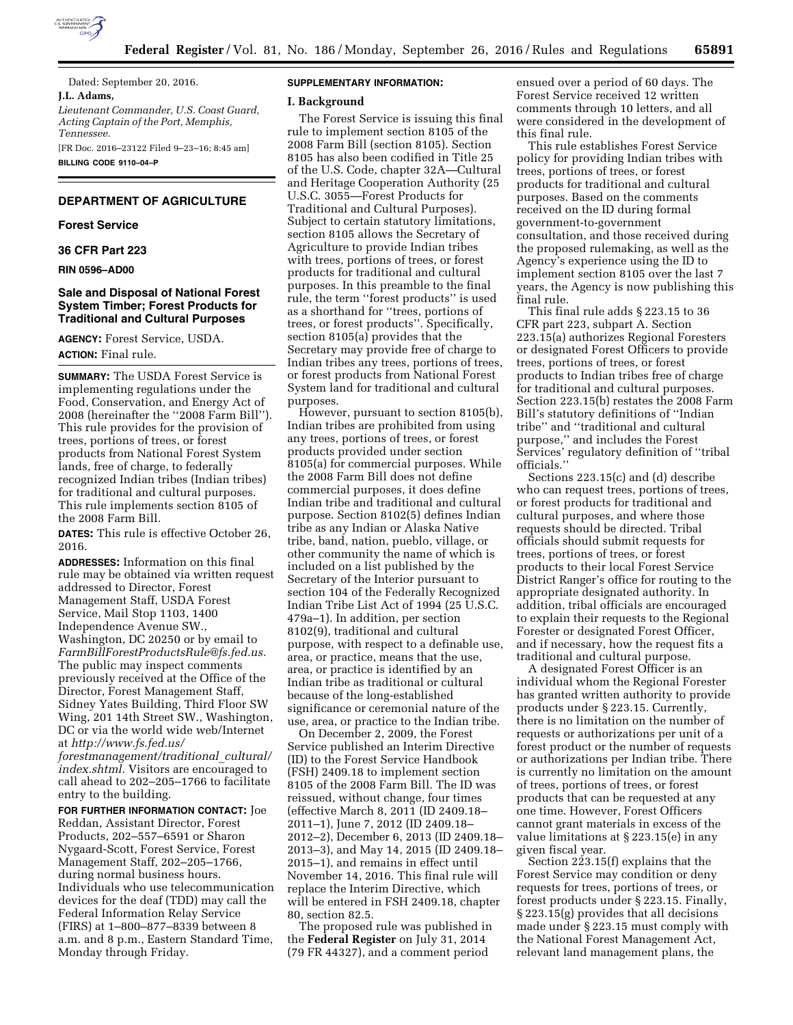

Dated: September 20, 2016. **J.L. Adams,** 

*Lieutenant Commander, U.S. Coast Guard, Acting Captain of the Port, Memphis, Tennessee.* 

[FR Doc. 2016–23122 Filed 9–23–16; 8:45 am] **BILLING CODE 9110–04–P** 

# **DEPARTMENT OF AGRICULTURE**

#### **Forest Service**

**36 CFR Part 223** 

#### **RIN 0596–AD00**

## **Sale and Disposal of National Forest System Timber; Forest Products for Traditional and Cultural Purposes**

**AGENCY:** Forest Service, USDA. **ACTION:** Final rule.

**SUMMARY:** The USDA Forest Service is implementing regulations under the Food, Conservation, and Energy Act of 2008 (hereinafter the ''2008 Farm Bill''). This rule provides for the provision of trees, portions of trees, or forest products from National Forest System lands, free of charge, to federally recognized Indian tribes (Indian tribes) for traditional and cultural purposes. This rule implements section 8105 of the 2008 Farm Bill.

**DATES:** This rule is effective October 26, 2016.

**ADDRESSES:** Information on this final rule may be obtained via written request addressed to Director, Forest Management Staff, USDA Forest Service, Mail Stop 1103, 1400 Independence Avenue SW., Washington, DC 20250 or by email to *[FarmBillForestProductsRule@fs.fed.us.](mailto:FarmBillForestProductsRule@fs.fed.us)*  The public may inspect comments previously received at the Office of the Director, Forest Management Staff, Sidney Yates Building, Third Floor SW Wing, 201 14th Street SW., Washington, DC or via the world wide web/Internet at *[http://www.fs.fed.us/](http://www.fs.fed.us/forestmanagement/traditional_cultural/index.shtml) [forestmanagement/traditional](http://www.fs.fed.us/forestmanagement/traditional_cultural/index.shtml)*\_*cultural/ [index.shtml.](http://www.fs.fed.us/forestmanagement/traditional_cultural/index.shtml)* Visitors are encouraged to

call ahead to 202–205–1766 to facilitate entry to the building. **FOR FURTHER INFORMATION CONTACT:** Joe

Reddan, Assistant Director, Forest Products, 202–557–6591 or Sharon Nygaard-Scott, Forest Service, Forest Management Staff, 202–205–1766, during normal business hours. Individuals who use telecommunication devices for the deaf (TDD) may call the Federal Information Relay Service (FIRS) at 1–800–877–8339 between 8 a.m. and 8 p.m., Eastern Standard Time, Monday through Friday.

## **SUPPLEMENTARY INFORMATION:**

#### **I. Background**

The Forest Service is issuing this final rule to implement section 8105 of the 2008 Farm Bill (section 8105). Section 8105 has also been codified in Title 25 of the U.S. Code, chapter 32A—Cultural and Heritage Cooperation Authority (25 U.S.C. 3055—Forest Products for Traditional and Cultural Purposes). Subject to certain statutory limitations, section 8105 allows the Secretary of Agriculture to provide Indian tribes with trees, portions of trees, or forest products for traditional and cultural purposes. In this preamble to the final rule, the term ''forest products'' is used as a shorthand for ''trees, portions of trees, or forest products''. Specifically, section 8105(a) provides that the Secretary may provide free of charge to Indian tribes any trees, portions of trees, or forest products from National Forest System land for traditional and cultural purposes.

However, pursuant to section 8105(b), Indian tribes are prohibited from using any trees, portions of trees, or forest products provided under section 8105(a) for commercial purposes. While the 2008 Farm Bill does not define commercial purposes, it does define Indian tribe and traditional and cultural purpose. Section 8102(5) defines Indian tribe as any Indian or Alaska Native tribe, band, nation, pueblo, village, or other community the name of which is included on a list published by the Secretary of the Interior pursuant to section 104 of the Federally Recognized Indian Tribe List Act of 1994 (25 U.S.C. 479a–1). In addition, per section 8102(9), traditional and cultural purpose, with respect to a definable use, area, or practice, means that the use, area, or practice is identified by an Indian tribe as traditional or cultural because of the long-established significance or ceremonial nature of the use, area, or practice to the Indian tribe.

On December 2, 2009, the Forest Service published an Interim Directive (ID) to the Forest Service Handbook (FSH) 2409.18 to implement section 8105 of the 2008 Farm Bill. The ID was reissued, without change, four times (effective March 8, 2011 (ID 2409.18– 2011–1), June 7, 2012 (ID 2409.18– 2012–2), December 6, 2013 (ID 2409.18– 2013–3), and May 14, 2015 (ID 2409.18– 2015–1), and remains in effect until November 14, 2016. This final rule will replace the Interim Directive, which will be entered in FSH 2409.18, chapter 80, section 82.5.

The proposed rule was published in the **Federal Register** on July 31, 2014 (79 FR 44327), and a comment period

ensued over a period of 60 days. The Forest Service received 12 written comments through 10 letters, and all were considered in the development of this final rule.

This rule establishes Forest Service policy for providing Indian tribes with trees, portions of trees, or forest products for traditional and cultural purposes. Based on the comments received on the ID during formal government-to-government consultation, and those received during the proposed rulemaking, as well as the Agency's experience using the ID to implement section 8105 over the last 7 years, the Agency is now publishing this final rule.

This final rule adds § 223.15 to 36 CFR part 223, subpart A. Section 223.15(a) authorizes Regional Foresters or designated Forest Officers to provide trees, portions of trees, or forest products to Indian tribes free of charge for traditional and cultural purposes. Section 223.15(b) restates the 2008 Farm Bill's statutory definitions of ''Indian tribe'' and ''traditional and cultural purpose,'' and includes the Forest Services' regulatory definition of ''tribal officials.''

Sections 223.15(c) and (d) describe who can request trees, portions of trees, or forest products for traditional and cultural purposes, and where those requests should be directed. Tribal officials should submit requests for trees, portions of trees, or forest products to their local Forest Service District Ranger's office for routing to the appropriate designated authority. In addition, tribal officials are encouraged to explain their requests to the Regional Forester or designated Forest Officer, and if necessary, how the request fits a traditional and cultural purpose.

A designated Forest Officer is an individual whom the Regional Forester has granted written authority to provide products under § 223.15. Currently, there is no limitation on the number of requests or authorizations per unit of a forest product or the number of requests or authorizations per Indian tribe. There is currently no limitation on the amount of trees, portions of trees, or forest products that can be requested at any one time. However, Forest Officers cannot grant materials in excess of the value limitations at § 223.15(e) in any given fiscal year.

Section 223.15(f) explains that the Forest Service may condition or deny requests for trees, portions of trees, or forest products under § 223.15. Finally, § 223.15(g) provides that all decisions made under § 223.15 must comply with the National Forest Management Act, relevant land management plans, the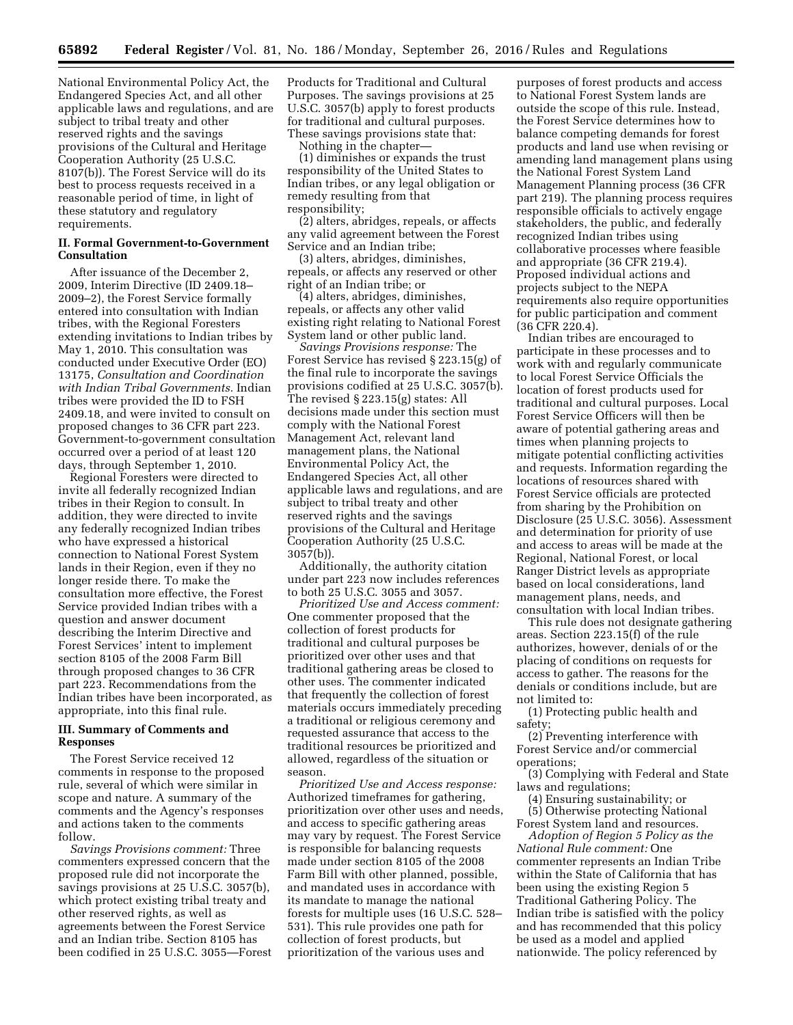National Environmental Policy Act, the Endangered Species Act, and all other applicable laws and regulations, and are subject to tribal treaty and other reserved rights and the savings provisions of the Cultural and Heritage Cooperation Authority (25 U.S.C. 8107(b)). The Forest Service will do its best to process requests received in a reasonable period of time, in light of these statutory and regulatory requirements.

## **II. Formal Government-to-Government Consultation**

After issuance of the December 2, 2009, Interim Directive (ID 2409.18– 2009–2), the Forest Service formally entered into consultation with Indian tribes, with the Regional Foresters extending invitations to Indian tribes by May 1, 2010. This consultation was conducted under Executive Order (EO) 13175, *Consultation and Coordination with Indian Tribal Governments.* Indian tribes were provided the ID to FSH 2409.18, and were invited to consult on proposed changes to 36 CFR part 223. Government-to-government consultation occurred over a period of at least 120 days, through September 1, 2010.

Regional Foresters were directed to invite all federally recognized Indian tribes in their Region to consult. In addition, they were directed to invite any federally recognized Indian tribes who have expressed a historical connection to National Forest System lands in their Region, even if they no longer reside there. To make the consultation more effective, the Forest Service provided Indian tribes with a question and answer document describing the Interim Directive and Forest Services' intent to implement section 8105 of the 2008 Farm Bill through proposed changes to 36 CFR part 223. Recommendations from the Indian tribes have been incorporated, as appropriate, into this final rule.

## **III. Summary of Comments and Responses**

The Forest Service received 12 comments in response to the proposed rule, several of which were similar in scope and nature. A summary of the comments and the Agency's responses and actions taken to the comments follow.

*Savings Provisions comment:* Three commenters expressed concern that the proposed rule did not incorporate the savings provisions at 25 U.S.C. 3057(b), which protect existing tribal treaty and other reserved rights, as well as agreements between the Forest Service and an Indian tribe. Section 8105 has been codified in 25 U.S.C. 3055—Forest Products for Traditional and Cultural Purposes. The savings provisions at 25 U.S.C. 3057(b) apply to forest products for traditional and cultural purposes. These savings provisions state that:

Nothing in the chapter—

(1) diminishes or expands the trust responsibility of the United States to Indian tribes, or any legal obligation or remedy resulting from that responsibility;

(2) alters, abridges, repeals, or affects any valid agreement between the Forest Service and an Indian tribe;

(3) alters, abridges, diminishes, repeals, or affects any reserved or other right of an Indian tribe; or

(4) alters, abridges, diminishes, repeals, or affects any other valid existing right relating to National Forest System land or other public land.

*Savings Provisions response:* The Forest Service has revised § 223.15(g) of the final rule to incorporate the savings provisions codified at 25 U.S.C. 3057(b). The revised § 223.15(g) states: All decisions made under this section must comply with the National Forest Management Act, relevant land management plans, the National Environmental Policy Act, the Endangered Species Act, all other applicable laws and regulations, and are subject to tribal treaty and other reserved rights and the savings provisions of the Cultural and Heritage Cooperation Authority (25 U.S.C. 3057(b)).

Additionally, the authority citation under part 223 now includes references to both 25 U.S.C. 3055 and 3057.

*Prioritized Use and Access comment:*  One commenter proposed that the collection of forest products for traditional and cultural purposes be prioritized over other uses and that traditional gathering areas be closed to other uses. The commenter indicated that frequently the collection of forest materials occurs immediately preceding a traditional or religious ceremony and requested assurance that access to the traditional resources be prioritized and allowed, regardless of the situation or season.

*Prioritized Use and Access response:*  Authorized timeframes for gathering, prioritization over other uses and needs, and access to specific gathering areas may vary by request. The Forest Service is responsible for balancing requests made under section 8105 of the 2008 Farm Bill with other planned, possible, and mandated uses in accordance with its mandate to manage the national forests for multiple uses (16 U.S.C. 528– 531). This rule provides one path for collection of forest products, but prioritization of the various uses and

purposes of forest products and access to National Forest System lands are outside the scope of this rule. Instead, the Forest Service determines how to balance competing demands for forest products and land use when revising or amending land management plans using the National Forest System Land Management Planning process (36 CFR part 219). The planning process requires responsible officials to actively engage stakeholders, the public, and federally recognized Indian tribes using collaborative processes where feasible and appropriate (36 CFR 219.4). Proposed individual actions and projects subject to the NEPA requirements also require opportunities for public participation and comment (36 CFR 220.4).

Indian tribes are encouraged to participate in these processes and to work with and regularly communicate to local Forest Service Officials the location of forest products used for traditional and cultural purposes. Local Forest Service Officers will then be aware of potential gathering areas and times when planning projects to mitigate potential conflicting activities and requests. Information regarding the locations of resources shared with Forest Service officials are protected from sharing by the Prohibition on Disclosure (25 U.S.C. 3056). Assessment and determination for priority of use and access to areas will be made at the Regional, National Forest, or local Ranger District levels as appropriate based on local considerations, land management plans, needs, and consultation with local Indian tribes.

This rule does not designate gathering areas. Section 223.15(f) of the rule authorizes, however, denials of or the placing of conditions on requests for access to gather. The reasons for the denials or conditions include, but are not limited to:

(1) Protecting public health and safety;

(2) Preventing interference with Forest Service and/or commercial operations;

(3) Complying with Federal and State laws and regulations;

(4) Ensuring sustainability; or (5) Otherwise protecting National Forest System land and resources.

*Adoption of Region 5 Policy as the National Rule comment:* One commenter represents an Indian Tribe within the State of California that has been using the existing Region 5 Traditional Gathering Policy. The Indian tribe is satisfied with the policy and has recommended that this policy be used as a model and applied nationwide. The policy referenced by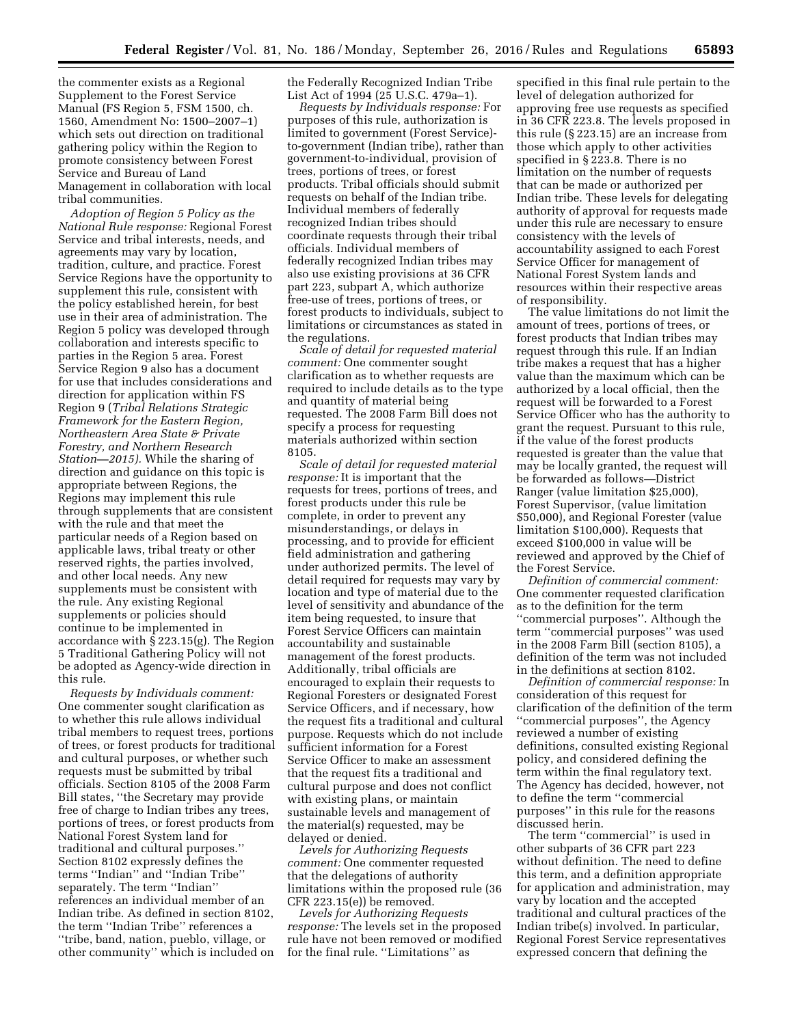the commenter exists as a Regional Supplement to the Forest Service Manual (FS Region 5, FSM 1500, ch. 1560, Amendment No: 1500–2007–1) which sets out direction on traditional gathering policy within the Region to promote consistency between Forest Service and Bureau of Land Management in collaboration with local tribal communities.

*Adoption of Region 5 Policy as the National Rule response:* Regional Forest Service and tribal interests, needs, and agreements may vary by location, tradition, culture, and practice. Forest Service Regions have the opportunity to supplement this rule, consistent with the policy established herein, for best use in their area of administration. The Region 5 policy was developed through collaboration and interests specific to parties in the Region 5 area. Forest Service Region 9 also has a document for use that includes considerations and direction for application within FS Region 9 (*Tribal Relations Strategic Framework for the Eastern Region, Northeastern Area State & Private Forestry, and Northern Research Station—2015).* While the sharing of direction and guidance on this topic is appropriate between Regions, the Regions may implement this rule through supplements that are consistent with the rule and that meet the particular needs of a Region based on applicable laws, tribal treaty or other reserved rights, the parties involved, and other local needs. Any new supplements must be consistent with the rule. Any existing Regional supplements or policies should continue to be implemented in accordance with § 223.15(g). The Region 5 Traditional Gathering Policy will not be adopted as Agency-wide direction in this rule.

*Requests by Individuals comment:*  One commenter sought clarification as to whether this rule allows individual tribal members to request trees, portions of trees, or forest products for traditional and cultural purposes, or whether such requests must be submitted by tribal officials. Section 8105 of the 2008 Farm Bill states, ''the Secretary may provide free of charge to Indian tribes any trees, portions of trees, or forest products from National Forest System land for traditional and cultural purposes.'' Section 8102 expressly defines the terms ''Indian'' and ''Indian Tribe'' separately. The term ''Indian'' references an individual member of an Indian tribe. As defined in section 8102, the term ''Indian Tribe'' references a ''tribe, band, nation, pueblo, village, or other community'' which is included on

the Federally Recognized Indian Tribe List Act of 1994 (25 U.S.C. 479a–1).

*Requests by Individuals response:* For purposes of this rule, authorization is limited to government (Forest Service) to-government (Indian tribe), rather than government-to-individual, provision of trees, portions of trees, or forest products. Tribal officials should submit requests on behalf of the Indian tribe. Individual members of federally recognized Indian tribes should coordinate requests through their tribal officials. Individual members of federally recognized Indian tribes may also use existing provisions at 36 CFR part 223, subpart A, which authorize free-use of trees, portions of trees, or forest products to individuals, subject to limitations or circumstances as stated in the regulations.

*Scale of detail for requested material comment:* One commenter sought clarification as to whether requests are required to include details as to the type and quantity of material being requested. The 2008 Farm Bill does not specify a process for requesting materials authorized within section 8105.

*Scale of detail for requested material response:* It is important that the requests for trees, portions of trees, and forest products under this rule be complete, in order to prevent any misunderstandings, or delays in processing, and to provide for efficient field administration and gathering under authorized permits. The level of detail required for requests may vary by location and type of material due to the level of sensitivity and abundance of the item being requested, to insure that Forest Service Officers can maintain accountability and sustainable management of the forest products. Additionally, tribal officials are encouraged to explain their requests to Regional Foresters or designated Forest Service Officers, and if necessary, how the request fits a traditional and cultural purpose. Requests which do not include sufficient information for a Forest Service Officer to make an assessment that the request fits a traditional and cultural purpose and does not conflict with existing plans, or maintain sustainable levels and management of the material(s) requested, may be delayed or denied.

*Levels for Authorizing Requests comment:* One commenter requested that the delegations of authority limitations within the proposed rule (36 CFR 223.15(e)) be removed.

*Levels for Authorizing Requests response:* The levels set in the proposed rule have not been removed or modified for the final rule. ''Limitations'' as

specified in this final rule pertain to the level of delegation authorized for approving free use requests as specified in 36 CFR 223.8. The levels proposed in this rule (§ 223.15) are an increase from those which apply to other activities specified in § 223.8. There is no limitation on the number of requests that can be made or authorized per Indian tribe. These levels for delegating authority of approval for requests made under this rule are necessary to ensure consistency with the levels of accountability assigned to each Forest Service Officer for management of National Forest System lands and resources within their respective areas of responsibility.

The value limitations do not limit the amount of trees, portions of trees, or forest products that Indian tribes may request through this rule. If an Indian tribe makes a request that has a higher value than the maximum which can be authorized by a local official, then the request will be forwarded to a Forest Service Officer who has the authority to grant the request. Pursuant to this rule, if the value of the forest products requested is greater than the value that may be locally granted, the request will be forwarded as follows—District Ranger (value limitation \$25,000), Forest Supervisor, (value limitation \$50,000), and Regional Forester (value limitation \$100,000). Requests that exceed \$100,000 in value will be reviewed and approved by the Chief of the Forest Service.

*Definition of commercial comment:*  One commenter requested clarification as to the definition for the term ''commercial purposes''. Although the term ''commercial purposes'' was used in the 2008 Farm Bill (section 8105), a definition of the term was not included in the definitions at section 8102.

*Definition of commercial response:* In consideration of this request for clarification of the definition of the term ''commercial purposes'', the Agency reviewed a number of existing definitions, consulted existing Regional policy, and considered defining the term within the final regulatory text. The Agency has decided, however, not to define the term ''commercial purposes'' in this rule for the reasons discussed herin.

The term "commercial" is used in other subparts of 36 CFR part 223 without definition. The need to define this term, and a definition appropriate for application and administration, may vary by location and the accepted traditional and cultural practices of the Indian tribe(s) involved. In particular, Regional Forest Service representatives expressed concern that defining the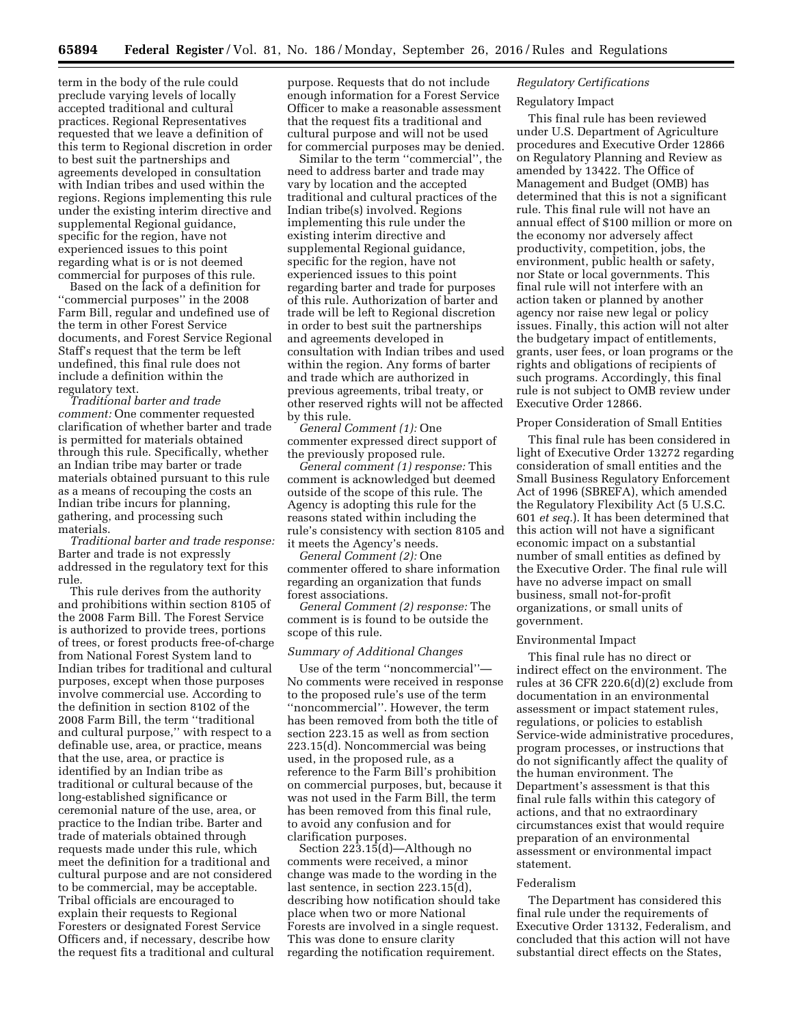term in the body of the rule could preclude varying levels of locally accepted traditional and cultural practices. Regional Representatives requested that we leave a definition of this term to Regional discretion in order to best suit the partnerships and agreements developed in consultation with Indian tribes and used within the regions. Regions implementing this rule under the existing interim directive and supplemental Regional guidance, specific for the region, have not experienced issues to this point regarding what is or is not deemed commercial for purposes of this rule.

Based on the lack of a definition for ''commercial purposes'' in the 2008 Farm Bill, regular and undefined use of the term in other Forest Service documents, and Forest Service Regional Staff's request that the term be left undefined, this final rule does not include a definition within the regulatory text.

*Traditional barter and trade comment:* One commenter requested clarification of whether barter and trade is permitted for materials obtained through this rule. Specifically, whether an Indian tribe may barter or trade materials obtained pursuant to this rule as a means of recouping the costs an Indian tribe incurs for planning, gathering, and processing such materials.

*Traditional barter and trade response:*  Barter and trade is not expressly addressed in the regulatory text for this rule.

This rule derives from the authority and prohibitions within section 8105 of the 2008 Farm Bill. The Forest Service is authorized to provide trees, portions of trees, or forest products free-of-charge from National Forest System land to Indian tribes for traditional and cultural purposes, except when those purposes involve commercial use. According to the definition in section 8102 of the 2008 Farm Bill, the term ''traditional and cultural purpose,'' with respect to a definable use, area, or practice, means that the use, area, or practice is identified by an Indian tribe as traditional or cultural because of the long-established significance or ceremonial nature of the use, area, or practice to the Indian tribe. Barter and trade of materials obtained through requests made under this rule, which meet the definition for a traditional and cultural purpose and are not considered to be commercial, may be acceptable. Tribal officials are encouraged to explain their requests to Regional Foresters or designated Forest Service Officers and, if necessary, describe how the request fits a traditional and cultural purpose. Requests that do not include enough information for a Forest Service Officer to make a reasonable assessment that the request fits a traditional and cultural purpose and will not be used for commercial purposes may be denied.

Similar to the term ''commercial'', the need to address barter and trade may vary by location and the accepted traditional and cultural practices of the Indian tribe(s) involved. Regions implementing this rule under the existing interim directive and supplemental Regional guidance, specific for the region, have not experienced issues to this point regarding barter and trade for purposes of this rule. Authorization of barter and trade will be left to Regional discretion in order to best suit the partnerships and agreements developed in consultation with Indian tribes and used within the region. Any forms of barter and trade which are authorized in previous agreements, tribal treaty, or other reserved rights will not be affected by this rule.

*General Comment (1):* One commenter expressed direct support of the previously proposed rule.

*General comment (1) response:* This comment is acknowledged but deemed outside of the scope of this rule. The Agency is adopting this rule for the reasons stated within including the rule's consistency with section 8105 and it meets the Agency's needs.

*General Comment (2):* One commenter offered to share information regarding an organization that funds forest associations.

*General Comment (2) response:* The comment is is found to be outside the scope of this rule.

#### *Summary of Additional Changes*

Use of the term ''noncommercial''— No comments were received in response to the proposed rule's use of the term ''noncommercial''. However, the term has been removed from both the title of section 223.15 as well as from section 223.15(d). Noncommercial was being used, in the proposed rule, as a reference to the Farm Bill's prohibition on commercial purposes, but, because it was not used in the Farm Bill, the term has been removed from this final rule, to avoid any confusion and for clarification purposes.

Section 223.15(d)—Although no comments were received, a minor change was made to the wording in the last sentence, in section 223.15(d), describing how notification should take place when two or more National Forests are involved in a single request. This was done to ensure clarity regarding the notification requirement.

## *Regulatory Certifications*

# Regulatory Impact

This final rule has been reviewed under U.S. Department of Agriculture procedures and Executive Order 12866 on Regulatory Planning and Review as amended by 13422. The Office of Management and Budget (OMB) has determined that this is not a significant rule. This final rule will not have an annual effect of \$100 million or more on the economy nor adversely affect productivity, competition, jobs, the environment, public health or safety, nor State or local governments. This final rule will not interfere with an action taken or planned by another agency nor raise new legal or policy issues. Finally, this action will not alter the budgetary impact of entitlements, grants, user fees, or loan programs or the rights and obligations of recipients of such programs. Accordingly, this final rule is not subject to OMB review under Executive Order 12866.

## Proper Consideration of Small Entities

This final rule has been considered in light of Executive Order 13272 regarding consideration of small entities and the Small Business Regulatory Enforcement Act of 1996 (SBREFA), which amended the Regulatory Flexibility Act (5 U.S.C. 601 *et seq.*). It has been determined that this action will not have a significant economic impact on a substantial number of small entities as defined by the Executive Order. The final rule will have no adverse impact on small business, small not-for-profit organizations, or small units of government.

#### Environmental Impact

This final rule has no direct or indirect effect on the environment. The rules at 36 CFR 220.6(d)(2) exclude from documentation in an environmental assessment or impact statement rules, regulations, or policies to establish Service-wide administrative procedures, program processes, or instructions that do not significantly affect the quality of the human environment. The Department's assessment is that this final rule falls within this category of actions, and that no extraordinary circumstances exist that would require preparation of an environmental assessment or environmental impact statement.

#### Federalism

The Department has considered this final rule under the requirements of Executive Order 13132, Federalism, and concluded that this action will not have substantial direct effects on the States,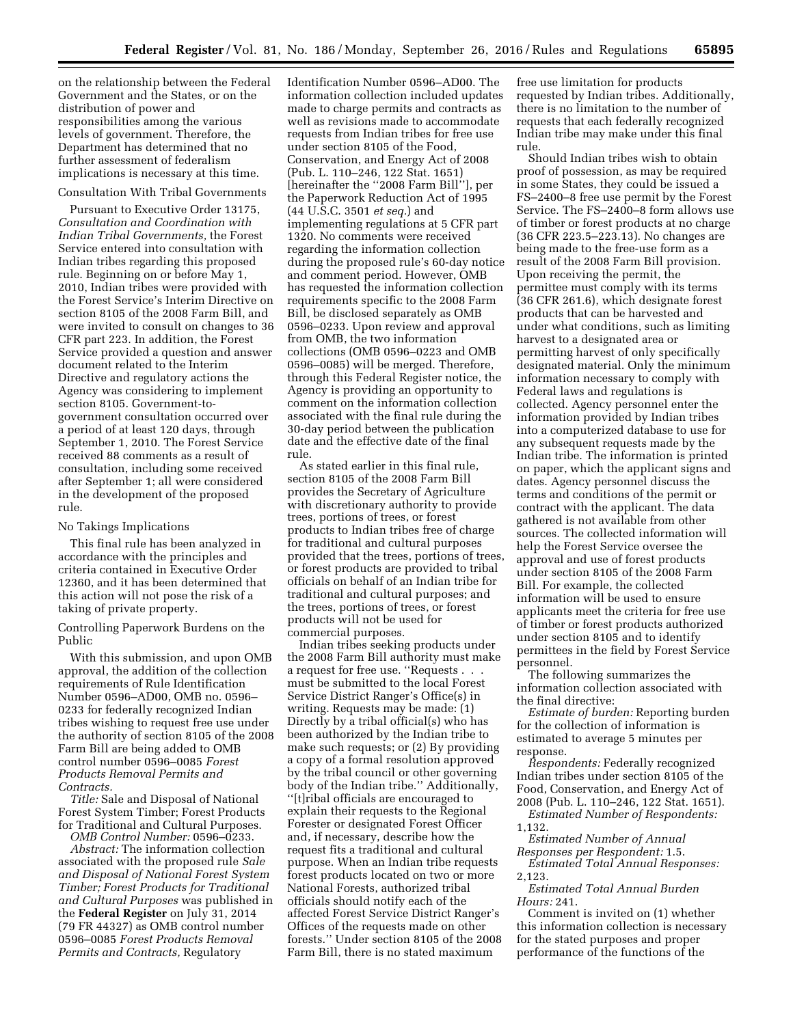on the relationship between the Federal Government and the States, or on the distribution of power and responsibilities among the various levels of government. Therefore, the Department has determined that no further assessment of federalism implications is necessary at this time.

# Consultation With Tribal Governments

Pursuant to Executive Order 13175, *Consultation and Coordination with Indian Tribal Governments,* the Forest Service entered into consultation with Indian tribes regarding this proposed rule. Beginning on or before May 1, 2010, Indian tribes were provided with the Forest Service's Interim Directive on section 8105 of the 2008 Farm Bill, and were invited to consult on changes to 36 CFR part 223. In addition, the Forest Service provided a question and answer document related to the Interim Directive and regulatory actions the Agency was considering to implement section 8105. Government-togovernment consultation occurred over a period of at least 120 days, through September 1, 2010. The Forest Service received 88 comments as a result of consultation, including some received after September 1; all were considered in the development of the proposed rule.

#### No Takings Implications

This final rule has been analyzed in accordance with the principles and criteria contained in Executive Order 12360, and it has been determined that this action will not pose the risk of a taking of private property.

Controlling Paperwork Burdens on the Public

With this submission, and upon OMB approval, the addition of the collection requirements of Rule Identification Number 0596–AD00, OMB no. 0596– 0233 for federally recognized Indian tribes wishing to request free use under the authority of section 8105 of the 2008 Farm Bill are being added to OMB control number 0596–0085 *Forest Products Removal Permits and Contracts.* 

*Title:* Sale and Disposal of National Forest System Timber; Forest Products for Traditional and Cultural Purposes.

*OMB Control Number:* 0596–0233. *Abstract:* The information collection associated with the proposed rule *Sale and Disposal of National Forest System Timber; Forest Products for Traditional and Cultural Purposes* was published in the **Federal Register** on July 31, 2014 (79 FR 44327) as OMB control number 0596–0085 *Forest Products Removal Permits and Contracts,* Regulatory

Identification Number 0596–AD00. The information collection included updates made to charge permits and contracts as well as revisions made to accommodate requests from Indian tribes for free use under section 8105 of the Food, Conservation, and Energy Act of 2008 (Pub. L. 110–246, 122 Stat. 1651) [hereinafter the ''2008 Farm Bill''], per the Paperwork Reduction Act of 1995 (44 U.S.C. 3501 *et seq.*) and implementing regulations at 5 CFR part 1320. No comments were received regarding the information collection during the proposed rule's 60-day notice and comment period. However, OMB has requested the information collection requirements specific to the 2008 Farm Bill, be disclosed separately as OMB 0596–0233. Upon review and approval from OMB, the two information collections (OMB 0596–0223 and OMB 0596–0085) will be merged. Therefore, through this Federal Register notice, the Agency is providing an opportunity to comment on the information collection associated with the final rule during the 30-day period between the publication date and the effective date of the final rule.

As stated earlier in this final rule, section 8105 of the 2008 Farm Bill provides the Secretary of Agriculture with discretionary authority to provide trees, portions of trees, or forest products to Indian tribes free of charge for traditional and cultural purposes provided that the trees, portions of trees, or forest products are provided to tribal officials on behalf of an Indian tribe for traditional and cultural purposes; and the trees, portions of trees, or forest products will not be used for commercial purposes.

Indian tribes seeking products under the 2008 Farm Bill authority must make a request for free use. ''Requests . . . must be submitted to the local Forest Service District Ranger's Office(s) in writing. Requests may be made: (1) Directly by a tribal official(s) who has been authorized by the Indian tribe to make such requests; or (2) By providing a copy of a formal resolution approved by the tribal council or other governing body of the Indian tribe.'' Additionally, ''[t]ribal officials are encouraged to explain their requests to the Regional Forester or designated Forest Officer and, if necessary, describe how the request fits a traditional and cultural purpose. When an Indian tribe requests forest products located on two or more National Forests, authorized tribal officials should notify each of the affected Forest Service District Ranger's Offices of the requests made on other forests.'' Under section 8105 of the 2008 Farm Bill, there is no stated maximum

free use limitation for products requested by Indian tribes. Additionally, there is no limitation to the number of requests that each federally recognized Indian tribe may make under this final rule.

Should Indian tribes wish to obtain proof of possession, as may be required in some States, they could be issued a FS–2400–8 free use permit by the Forest Service. The FS–2400–8 form allows use of timber or forest products at no charge (36 CFR 223.5–223.13). No changes are being made to the free-use form as a result of the 2008 Farm Bill provision. Upon receiving the permit, the permittee must comply with its terms (36 CFR 261.6), which designate forest products that can be harvested and under what conditions, such as limiting harvest to a designated area or permitting harvest of only specifically designated material. Only the minimum information necessary to comply with Federal laws and regulations is collected. Agency personnel enter the information provided by Indian tribes into a computerized database to use for any subsequent requests made by the Indian tribe. The information is printed on paper, which the applicant signs and dates. Agency personnel discuss the terms and conditions of the permit or contract with the applicant. The data gathered is not available from other sources. The collected information will help the Forest Service oversee the approval and use of forest products under section 8105 of the 2008 Farm Bill. For example, the collected information will be used to ensure applicants meet the criteria for free use of timber or forest products authorized under section 8105 and to identify permittees in the field by Forest Service personnel.

The following summarizes the information collection associated with the final directive:

*Estimate of burden:* Reporting burden for the collection of information is estimated to average 5 minutes per response.

*Respondents:* Federally recognized Indian tribes under section 8105 of the Food, Conservation, and Energy Act of 2008 (Pub. L. 110–246, 122 Stat. 1651).

*Estimated Number of Respondents:*  1,132.

*Estimated Number of Annual Responses per Respondent:* 1.5.

*Estimated Total Annual Responses:*  2,123.

*Estimated Total Annual Burden Hours:* 241.

Comment is invited on (1) whether this information collection is necessary for the stated purposes and proper performance of the functions of the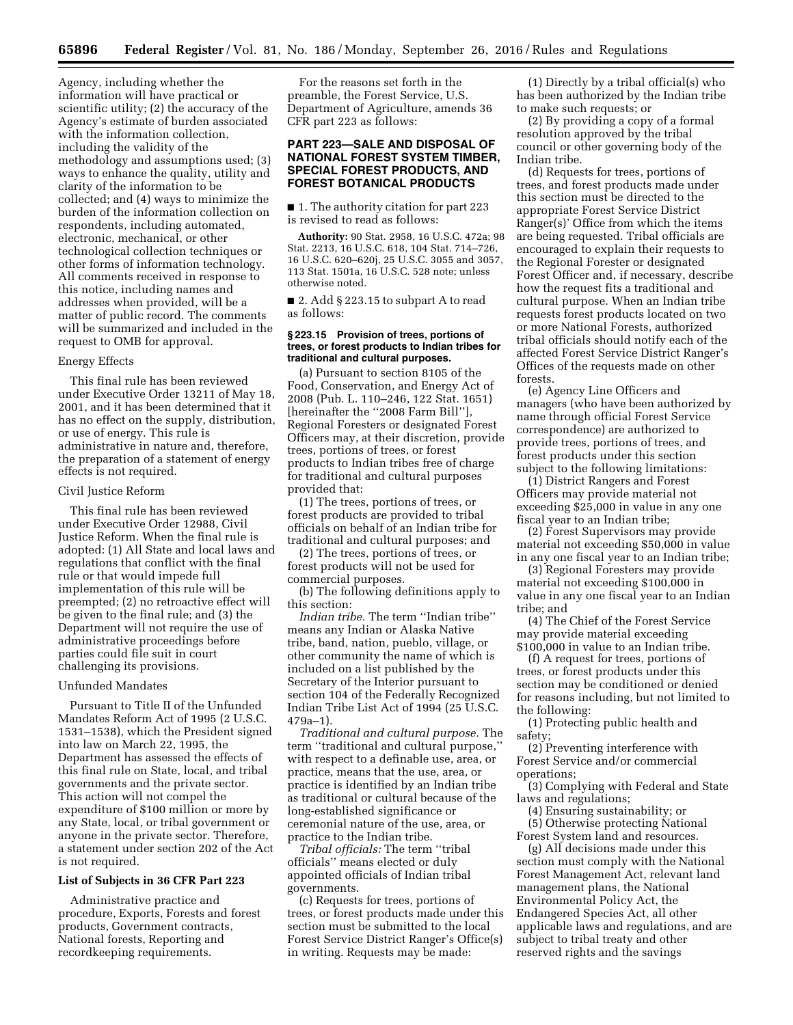Agency, including whether the information will have practical or scientific utility; (2) the accuracy of the Agency's estimate of burden associated with the information collection, including the validity of the methodology and assumptions used; (3) ways to enhance the quality, utility and clarity of the information to be collected; and (4) ways to minimize the burden of the information collection on respondents, including automated, electronic, mechanical, or other technological collection techniques or other forms of information technology. All comments received in response to this notice, including names and addresses when provided, will be a matter of public record. The comments will be summarized and included in the request to OMB for approval.

## Energy Effects

This final rule has been reviewed under Executive Order 13211 of May 18, 2001, and it has been determined that it has no effect on the supply, distribution, or use of energy. This rule is administrative in nature and, therefore, the preparation of a statement of energy effects is not required.

#### Civil Justice Reform

This final rule has been reviewed under Executive Order 12988, Civil Justice Reform. When the final rule is adopted: (1) All State and local laws and regulations that conflict with the final rule or that would impede full implementation of this rule will be preempted; (2) no retroactive effect will be given to the final rule; and (3) the Department will not require the use of administrative proceedings before parties could file suit in court challenging its provisions.

#### Unfunded Mandates

Pursuant to Title II of the Unfunded Mandates Reform Act of 1995 (2 U.S.C. 1531–1538), which the President signed into law on March 22, 1995, the Department has assessed the effects of this final rule on State, local, and tribal governments and the private sector. This action will not compel the expenditure of \$100 million or more by any State, local, or tribal government or anyone in the private sector. Therefore, a statement under section 202 of the Act is not required.

## **List of Subjects in 36 CFR Part 223**

Administrative practice and procedure, Exports, Forests and forest products, Government contracts, National forests, Reporting and recordkeeping requirements.

For the reasons set forth in the preamble, the Forest Service, U.S. Department of Agriculture, amends 36 CFR part 223 as follows:

# **PART 223—SALE AND DISPOSAL OF NATIONAL FOREST SYSTEM TIMBER, SPECIAL FOREST PRODUCTS, AND FOREST BOTANICAL PRODUCTS**

■ 1. The authority citation for part 223 is revised to read as follows:

**Authority:** 90 Stat. 2958, 16 U.S.C. 472a; 98 Stat. 2213, 16 U.S.C. 618, 104 Stat. 714–726, 16 U.S.C. 620–620j, 25 U.S.C. 3055 and 3057, 113 Stat. 1501a, 16 U.S.C. 528 note; unless otherwise noted.

■ 2. Add § 223.15 to subpart A to read as follows:

#### **§ 223.15 Provision of trees, portions of trees, or forest products to Indian tribes for traditional and cultural purposes.**

(a) Pursuant to section 8105 of the Food, Conservation, and Energy Act of 2008 (Pub. L. 110–246, 122 Stat. 1651) [hereinafter the ''2008 Farm Bill''], Regional Foresters or designated Forest Officers may, at their discretion, provide trees, portions of trees, or forest products to Indian tribes free of charge for traditional and cultural purposes provided that:

(1) The trees, portions of trees, or forest products are provided to tribal officials on behalf of an Indian tribe for traditional and cultural purposes; and

(2) The trees, portions of trees, or forest products will not be used for commercial purposes.

(b) The following definitions apply to this section:

*Indian tribe.* The term ''Indian tribe'' means any Indian or Alaska Native tribe, band, nation, pueblo, village, or other community the name of which is included on a list published by the Secretary of the Interior pursuant to section 104 of the Federally Recognized Indian Tribe List Act of 1994 (25 U.S.C. 479a–1).

*Traditional and cultural purpose.* The term ''traditional and cultural purpose,'' with respect to a definable use, area, or practice, means that the use, area, or practice is identified by an Indian tribe as traditional or cultural because of the long-established significance or ceremonial nature of the use, area, or practice to the Indian tribe.

*Tribal officials:* The term ''tribal officials'' means elected or duly appointed officials of Indian tribal governments.

(c) Requests for trees, portions of trees, or forest products made under this section must be submitted to the local Forest Service District Ranger's Office(s) in writing. Requests may be made:

(1) Directly by a tribal official(s) who has been authorized by the Indian tribe to make such requests; or

(2) By providing a copy of a formal resolution approved by the tribal council or other governing body of the Indian tribe.

(d) Requests for trees, portions of trees, and forest products made under this section must be directed to the appropriate Forest Service District Ranger(s)' Office from which the items are being requested. Tribal officials are encouraged to explain their requests to the Regional Forester or designated Forest Officer and, if necessary, describe how the request fits a traditional and cultural purpose. When an Indian tribe requests forest products located on two or more National Forests, authorized tribal officials should notify each of the affected Forest Service District Ranger's Offices of the requests made on other forests.

(e) Agency Line Officers and managers (who have been authorized by name through official Forest Service correspondence) are authorized to provide trees, portions of trees, and forest products under this section subject to the following limitations:

(1) District Rangers and Forest Officers may provide material not exceeding \$25,000 in value in any one fiscal year to an Indian tribe;

(2) Forest Supervisors may provide material not exceeding \$50,000 in value in any one fiscal year to an Indian tribe;

(3) Regional Foresters may provide material not exceeding \$100,000 in value in any one fiscal year to an Indian tribe; and

(4) The Chief of the Forest Service may provide material exceeding \$100,000 in value to an Indian tribe.

(f) A request for trees, portions of trees, or forest products under this section may be conditioned or denied for reasons including, but not limited to the following:

(1) Protecting public health and safety;

(2) Preventing interference with Forest Service and/or commercial operations;

(3) Complying with Federal and State laws and regulations;

(4) Ensuring sustainability; or

(5) Otherwise protecting National Forest System land and resources.

(g) All decisions made under this section must comply with the National Forest Management Act, relevant land management plans, the National Environmental Policy Act, the Endangered Species Act, all other applicable laws and regulations, and are subject to tribal treaty and other reserved rights and the savings